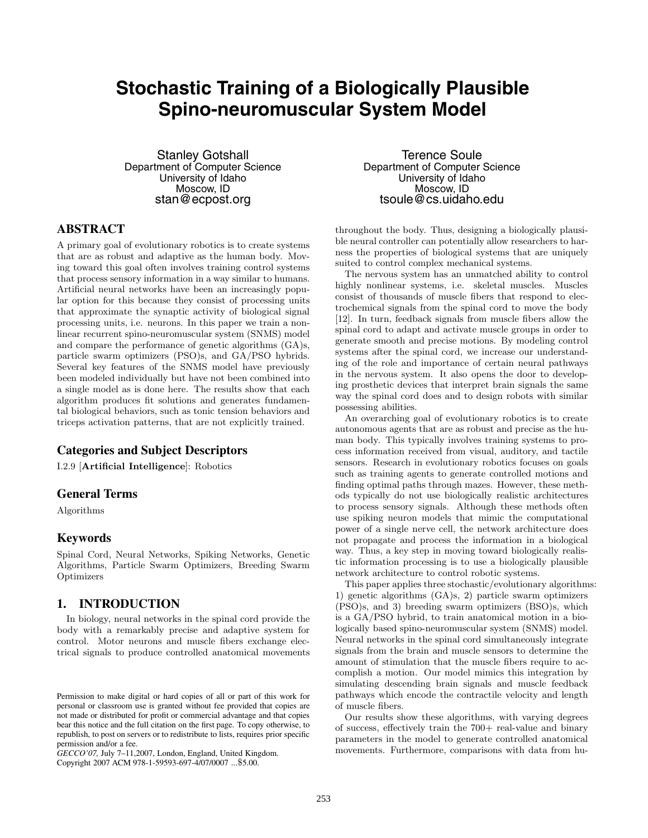# **Stochastic Training of a Biologically Plausible Spino-neuromuscular System Model**

Stanley Gotshall Department of Computer Science University of Idaho Moscow, ID stan@ecpost.org

# **ABSTRACT**

A primary goal of evolutionary robotics is to create systems that are as robust and adaptive as the human body. Moving toward this goal often involves training control systems that process sensory information in a way similar to humans. Artificial neural networks have been an increasingly popular option for this because they consist of processing units that approximate the synaptic activity of biological signal processing units, i.e. neurons. In this paper we train a nonlinear recurrent spino-neuromuscular system (SNMS) model and compare the performance of genetic algorithms (GA)s, particle swarm optimizers (PSO)s, and GA/PSO hybrids. Several key features of the SNMS model have previously been modeled individually but have not been combined into a single model as is done here. The results show that each algorithm produces fit solutions and generates fundamental biological behaviors, such as tonic tension behaviors and triceps activation patterns, that are not explicitly trained.

#### **Categories and Subject Descriptors**

I.2.9 [**Artificial Intelligence**]: Robotics

#### **General Terms**

Algorithms

## **Keywords**

Spinal Cord, Neural Networks, Spiking Networks, Genetic Algorithms, Particle Swarm Optimizers, Breeding Swarm Optimizers

# **1. INTRODUCTION**

In biology, neural networks in the spinal cord provide the body with a remarkably precise and adaptive system for control. Motor neurons and muscle fibers exchange electrical signals to produce controlled anatomical movements

*GECCO'07,* July 7–11,2007, London, England, United Kingdom. Copyright 2007 ACM 978-1-59593-697-4/07/0007 ...\$5.00.

Terence Soule Department of Computer Science University of Idaho Moscow, ID tsoule@cs.uidaho.edu

throughout the body. Thus, designing a biologically plausible neural controller can potentially allow researchers to harness the properties of biological systems that are uniquely suited to control complex mechanical systems.

The nervous system has an unmatched ability to control highly nonlinear systems, i.e. skeletal muscles. Muscles consist of thousands of muscle fibers that respond to electrochemical signals from the spinal cord to move the body [12]. In turn, feedback signals from muscle fibers allow the spinal cord to adapt and activate muscle groups in order to generate smooth and precise motions. By modeling control systems after the spinal cord, we increase our understanding of the role and importance of certain neural pathways in the nervous system. It also opens the door to developing prosthetic devices that interpret brain signals the same way the spinal cord does and to design robots with similar possessing abilities.

An overarching goal of evolutionary robotics is to create autonomous agents that are as robust and precise as the human body. This typically involves training systems to process information received from visual, auditory, and tactile sensors. Research in evolutionary robotics focuses on goals such as training agents to generate controlled motions and finding optimal paths through mazes. However, these methods typically do not use biologically realistic architectures to process sensory signals. Although these methods often use spiking neuron models that mimic the computational power of a single nerve cell, the network architecture does not propagate and process the information in a biological way. Thus, a key step in moving toward biologically realistic information processing is to use a biologically plausible network architecture to control robotic systems.

This paper applies three stochastic/evolutionary algorithms: 1) genetic algorithms (GA)s, 2) particle swarm optimizers (PSO)s, and 3) breeding swarm optimizers (BSO)s, which is a GA/PSO hybrid, to train anatomical motion in a biologically based spino-neuromuscular system (SNMS) model. Neural networks in the spinal cord simultaneously integrate signals from the brain and muscle sensors to determine the amount of stimulation that the muscle fibers require to accomplish a motion. Our model mimics this integration by simulating descending brain signals and muscle feedback pathways which encode the contractile velocity and length of muscle fibers.

Our results show these algorithms, with varying degrees of success, effectively train the 700+ real-value and binary parameters in the model to generate controlled anatomical movements. Furthermore, comparisons with data from hu-

Permission to make digital or hard copies of all or part of this work for personal or classroom use is granted without fee provided that copies are not made or distributed for profit or commercial advantage and that copies bear this notice and the full citation on the first page. To copy otherwise, to republish, to post on servers or to redistribute to lists, requires prior specific permission and/or a fee.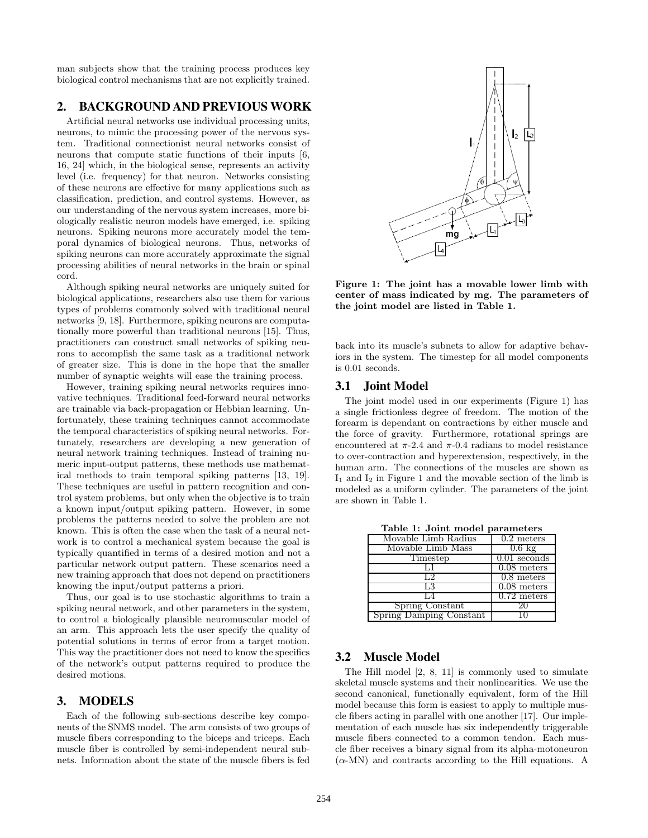man subjects show that the training process produces key biological control mechanisms that are not explicitly trained.

# **2. BACKGROUND AND PREVIOUS WORK**

Artificial neural networks use individual processing units, neurons, to mimic the processing power of the nervous system. Traditional connectionist neural networks consist of neurons that compute static functions of their inputs [6, 16, 24] which, in the biological sense, represents an activity level (i.e. frequency) for that neuron. Networks consisting of these neurons are effective for many applications such as classification, prediction, and control systems. However, as our understanding of the nervous system increases, more biologically realistic neuron models have emerged, i.e. spiking neurons. Spiking neurons more accurately model the temporal dynamics of biological neurons. Thus, networks of spiking neurons can more accurately approximate the signal processing abilities of neural networks in the brain or spinal cord.

Although spiking neural networks are uniquely suited for biological applications, researchers also use them for various types of problems commonly solved with traditional neural networks [9, 18]. Furthermore, spiking neurons are computationally more powerful than traditional neurons [15]. Thus, practitioners can construct small networks of spiking neurons to accomplish the same task as a traditional network of greater size. This is done in the hope that the smaller number of synaptic weights will ease the training process.

However, training spiking neural networks requires innovative techniques. Traditional feed-forward neural networks are trainable via back-propagation or Hebbian learning. Unfortunately, these training techniques cannot accommodate the temporal characteristics of spiking neural networks. Fortunately, researchers are developing a new generation of neural network training techniques. Instead of training numeric input-output patterns, these methods use mathematical methods to train temporal spiking patterns [13, 19]. These techniques are useful in pattern recognition and control system problems, but only when the objective is to train a known input/output spiking pattern. However, in some problems the patterns needed to solve the problem are not known. This is often the case when the task of a neural network is to control a mechanical system because the goal is typically quantified in terms of a desired motion and not a particular network output pattern. These scenarios need a new training approach that does not depend on practitioners knowing the input/output patterns a priori.

Thus, our goal is to use stochastic algorithms to train a spiking neural network, and other parameters in the system, to control a biologically plausible neuromuscular model of an arm. This approach lets the user specify the quality of potential solutions in terms of error from a target motion. This way the practitioner does not need to know the specifics of the network's output patterns required to produce the desired motions.

# **3. MODELS**

Each of the following sub-sections describe key components of the SNMS model. The arm consists of two groups of muscle fibers corresponding to the biceps and triceps. Each muscle fiber is controlled by semi-independent neural subnets. Information about the state of the muscle fibers is fed



**Figure 1: The joint has a movable lower limb with center of mass indicated by mg. The parameters of the joint model are listed in Table 1.**

back into its muscle's subnets to allow for adaptive behaviors in the system. The timestep for all model components is 0.01 seconds.

## **3.1 Joint Model**

The joint model used in our experiments (Figure 1) has a single frictionless degree of freedom. The motion of the forearm is dependant on contractions by either muscle and the force of gravity. Furthermore, rotational springs are encountered at  $\pi$ -2.4 and  $\pi$ -0.4 radians to model resistance to over-contraction and hyperextension, respectively, in the human arm. The connections of the muscles are shown as I<sup>1</sup> and I<sup>2</sup> in Figure 1 and the movable section of the limb is modeled as a uniform cylinder. The parameters of the joint are shown in Table 1.

| Movable Limb Radius     | $0.2$ meters    |
|-------------------------|-----------------|
| Movable Limb Mass       | $0.6\;{\rm kg}$ |
| Timestep                | $0.01$ seconds  |
|                         | $0.08$ meters   |
| $\Box$                  | $0.8$ meters    |
| L3                      | $0.08$ meters   |
|                         | $0.72$ meters   |
| Spring Constant         |                 |
| Spring Damping Constant |                 |

**Table 1: Joint model parameters**

# **3.2 Muscle Model**

The Hill model [2, 8, 11] is commonly used to simulate skeletal muscle systems and their nonlinearities. We use the second canonical, functionally equivalent, form of the Hill model because this form is easiest to apply to multiple muscle fibers acting in parallel with one another [17]. Our implementation of each muscle has six independently triggerable muscle fibers connected to a common tendon. Each muscle fiber receives a binary signal from its alpha-motoneuron  $(\alpha$ -MN) and contracts according to the Hill equations. A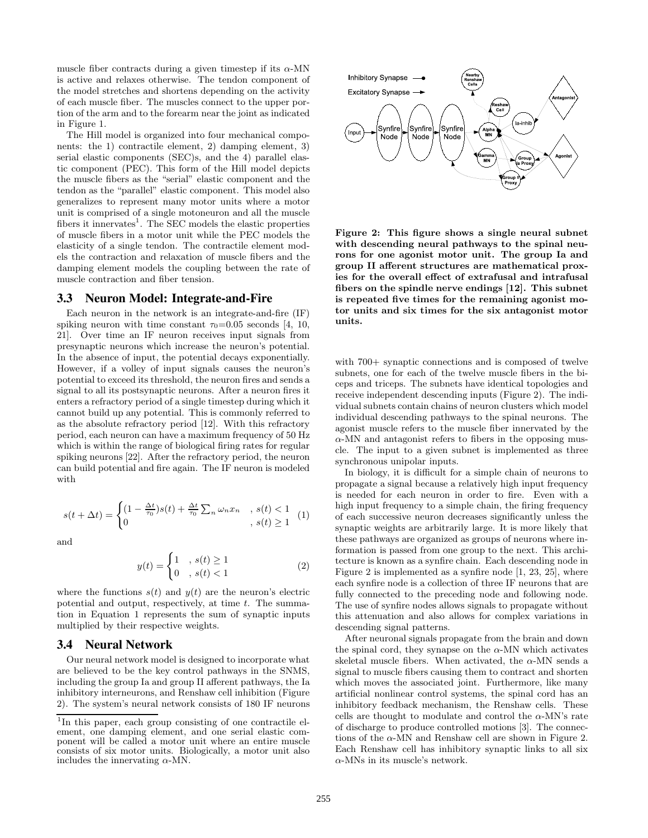muscle fiber contracts during a given timestep if its  $\alpha$ -MN is active and relaxes otherwise. The tendon component of the model stretches and shortens depending on the activity of each muscle fiber. The muscles connect to the upper portion of the arm and to the forearm near the joint as indicated in Figure 1.

The Hill model is organized into four mechanical components: the 1) contractile element, 2) damping element, 3) serial elastic components (SEC)s, and the 4) parallel elastic component (PEC). This form of the Hill model depicts the muscle fibers as the "serial" elastic component and the tendon as the "parallel" elastic component. This model also generalizes to represent many motor units where a motor unit is comprised of a single motoneuron and all the muscle fibers it innervates<sup>1</sup>. The SEC models the elastic properties of muscle fibers in a motor unit while the PEC models the elasticity of a single tendon. The contractile element models the contraction and relaxation of muscle fibers and the damping element models the coupling between the rate of muscle contraction and fiber tension.

#### **3.3 Neuron Model: Integrate-and-Fire**

Each neuron in the network is an integrate-and-fire (IF) spiking neuron with time constant  $\tau_0=0.05$  seconds [4, 10, 21]. Over time an IF neuron receives input signals from presynaptic neurons which increase the neuron's potential. In the absence of input, the potential decays exponentially. However, if a volley of input signals causes the neuron's potential to exceed its threshold, the neuron fires and sends a signal to all its postsynaptic neurons. After a neuron fires it enters a refractory period of a single timestep during which it cannot build up any potential. This is commonly referred to as the absolute refractory period [12]. With this refractory period, each neuron can have a maximum frequency of 50 Hz which is within the range of biological firing rates for regular spiking neurons [22]. After the refractory period, the neuron can build potential and fire again. The IF neuron is modeled with

$$
s(t + \Delta t) = \begin{cases} (1 - \frac{\Delta t}{\tau_0})s(t) + \frac{\Delta t}{\tau_0} \sum_n \omega_n x_n, & s(t) < 1\\ 0, & s(t) \ge 1 \end{cases}
$$
 (1)

and

$$
y(t) = \begin{cases} 1, & s(t) \ge 1 \\ 0, & s(t) < 1 \end{cases}
$$
 (2)

where the functions  $s(t)$  and  $y(t)$  are the neuron's electric potential and output, respectively, at time  $t$ . The summation in Equation 1 represents the sum of synaptic inputs multiplied by their respective weights.

## **3.4 Neural Network**

Our neural network model is designed to incorporate what are believed to be the key control pathways in the SNMS, including the group Ia and group II afferent pathways, the Ia inhibitory interneurons, and Renshaw cell inhibition (Figure 2). The system's neural network consists of 180 IF neurons



**Figure 2: This figure shows a single neural subnet with descending neural pathways to the spinal neurons for one agonist motor unit. The group Ia and group II afferent structures are mathematical proxies for the overall effect of extrafusal and intrafusal fibers on the spindle nerve endings [12]. This subnet is repeated five times for the remaining agonist motor units and six times for the six antagonist motor units.**

with  $700+$  synaptic connections and is composed of twelve subnets, one for each of the twelve muscle fibers in the biceps and triceps. The subnets have identical topologies and receive independent descending inputs (Figure 2). The individual subnets contain chains of neuron clusters which model individual descending pathways to the spinal neurons. The agonist muscle refers to the muscle fiber innervated by the  $\alpha$ -MN and antagonist refers to fibers in the opposing muscle. The input to a given subnet is implemented as three synchronous unipolar inputs.

In biology, it is difficult for a simple chain of neurons to propagate a signal because a relatively high input frequency is needed for each neuron in order to fire. Even with a high input frequency to a simple chain, the firing frequency of each successive neuron decreases significantly unless the synaptic weights are arbitrarily large. It is more likely that these pathways are organized as groups of neurons where information is passed from one group to the next. This architecture is known as a synfire chain. Each descending node in Figure 2 is implemented as a synfire node [1, 23, 25], where each synfire node is a collection of three IF neurons that are fully connected to the preceding node and following node. The use of synfire nodes allows signals to propagate without this attenuation and also allows for complex variations in descending signal patterns.

After neuronal signals propagate from the brain and down the spinal cord, they synapse on the  $\alpha$ -MN which activates skeletal muscle fibers. When activated, the  $\alpha$ -MN sends a signal to muscle fibers causing them to contract and shorten which moves the associated joint. Furthermore, like many artificial nonlinear control systems, the spinal cord has an inhibitory feedback mechanism, the Renshaw cells. These cells are thought to modulate and control the  $\alpha$ -MN's rate of discharge to produce controlled motions [3]. The connections of the  $\alpha$ -MN and Renshaw cell are shown in Figure 2. Each Renshaw cell has inhibitory synaptic links to all six  $\alpha$ -MNs in its muscle's network.

<sup>&</sup>lt;sup>1</sup>In this paper, each group consisting of one contractile element, one damping element, and one serial elastic component will be called a motor unit where an entire muscle consists of six motor units. Biologically, a motor unit also includes the innervating  $\alpha$ -MN.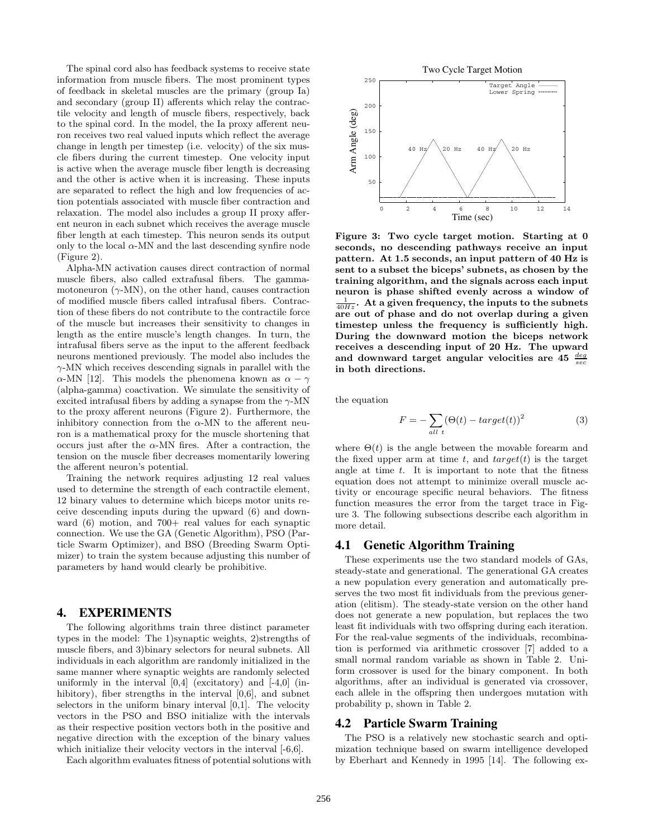The spinal cord also has feedback systems to receive state information from muscle fibers. The most prominent types of feedback in skeletal muscles are the primary (group Ia) and secondary (group II) afferents which relay the contractile velocity and length of muscle fibers, respectively, back to the spinal cord. In the model, the Ia proxy afferent neuron receives two real valued inputs which reflect the average change in length per timestep (i.e. velocity) of the six muscle fibers during the current timestep. One velocity input is active when the average muscle fiber length is decreasing and the other is active when it is increasing. These inputs are separated to reflect the high and low frequencies of action potentials associated with muscle fiber contraction and relaxation. The model also includes a group II proxy afferent neuron in each subnet which receives the average muscle fiber length at each timestep. This neuron sends its output only to the local  $\alpha$ -MN and the last descending synfire node (Figure 2).

Alpha-MN activation causes direct contraction of normal muscle fibers, also called extrafusal fibers. The gammamotoneuron  $(\gamma-MN)$ , on the other hand, causes contraction of modified muscle fibers called intrafusal fibers. Contraction of these fibers do not contribute to the contractile force of the muscle but increases their sensitivity to changes in length as the entire muscle's length changes. In turn, the intrafusal fibers serve as the input to the afferent feedback neurons mentioned previously. The model also includes the  $\gamma$ -MN which receives descending signals in parallel with the  $\alpha$ -MN [12]. This models the phenomena known as  $\alpha - \gamma$ (alpha-gamma) coactivation. We simulate the sensitivity of excited intrafusal fibers by adding a synapse from the  $\gamma$ -MN to the proxy afferent neurons (Figure 2). Furthermore, the inhibitory connection from the  $\alpha$ -MN to the afferent neuron is a mathematical proxy for the muscle shortening that occurs just after the  $\alpha$ -MN fires. After a contraction, the tension on the muscle fiber decreases momentarily lowering the afferent neuron's potential.

Training the network requires adjusting 12 real values used to determine the strength of each contractile element, 12 binary values to determine which biceps motor units receive descending inputs during the upward (6) and downward  $(6)$  motion, and  $700+$  real values for each synaptic connection. We use the GA (Genetic Algorithm), PSO (Particle Swarm Optimizer), and BSO (Breeding Swarm Optimizer) to train the system because adjusting this number of parameters by hand would clearly be prohibitive.

# **4. EXPERIMENTS**

The following algorithms train three distinct parameter types in the model: The 1)synaptic weights, 2)strengths of muscle fibers, and 3)binary selectors for neural subnets. All individuals in each algorithm are randomly initialized in the same manner where synaptic weights are randomly selected uniformly in the interval  $[0,4]$  (excitatory) and  $[-4,0]$  (inhibitory), fiber strengths in the interval  $[0,6]$ , and subnet selectors in the uniform binary interval [0,1]. The velocity vectors in the PSO and BSO initialize with the intervals as their respective position vectors both in the positive and negative direction with the exception of the binary values which initialize their velocity vectors in the interval  $[-6,6]$ .

Each algorithm evaluates fitness of potential solutions with



**Figure 3: Two cycle target motion. Starting at 0 seconds, no descending pathways receive an input pattern. At 1.5 seconds, an input pattern of 40 Hz is sent to a subset the biceps' subnets, as chosen by the training algorithm, and the signals across each input neuron is phase shifted evenly across a window of**  $\frac{1}{40 Hz}$ . At a given frequency, the inputs to the subnets **are out of phase and do not overlap during a given timestep unless the frequency is sufficiently high. During the downward motion the biceps network receives a descending input of 20 Hz. The upward** and downward target angular velocities are 45  $\frac{deg}{sec}$ **in both directions.**

the equation

$$
F = -\sum_{all \ t} (\Theta(t) - target(t))^2 \tag{3}
$$

where  $\Theta(t)$  is the angle between the movable forearm and the fixed upper arm at time t, and  $target(t)$  is the target angle at time  $t$ . It is important to note that the fitness equation does not attempt to minimize overall muscle activity or encourage specific neural behaviors. The fitness function measures the error from the target trace in Figure 3. The following subsections describe each algorithm in more detail.

#### **4.1 Genetic Algorithm Training**

These experiments use the two standard models of GAs, steady-state and generational. The generational GA creates a new population every generation and automatically preserves the two most fit individuals from the previous generation (elitism). The steady-state version on the other hand does not generate a new population, but replaces the two least fit individuals with two offspring during each iteration. For the real-value segments of the individuals, recombination is performed via arithmetic crossover [7] added to a small normal random variable as shown in Table 2. Uniform crossover is used for the binary component. In both algorithms, after an individual is generated via crossover, each allele in the offspring then undergoes mutation with probability p, shown in Table 2.

## **4.2 Particle Swarm Training**

The PSO is a relatively new stochastic search and optimization technique based on swarm intelligence developed by Eberhart and Kennedy in 1995 [14]. The following ex-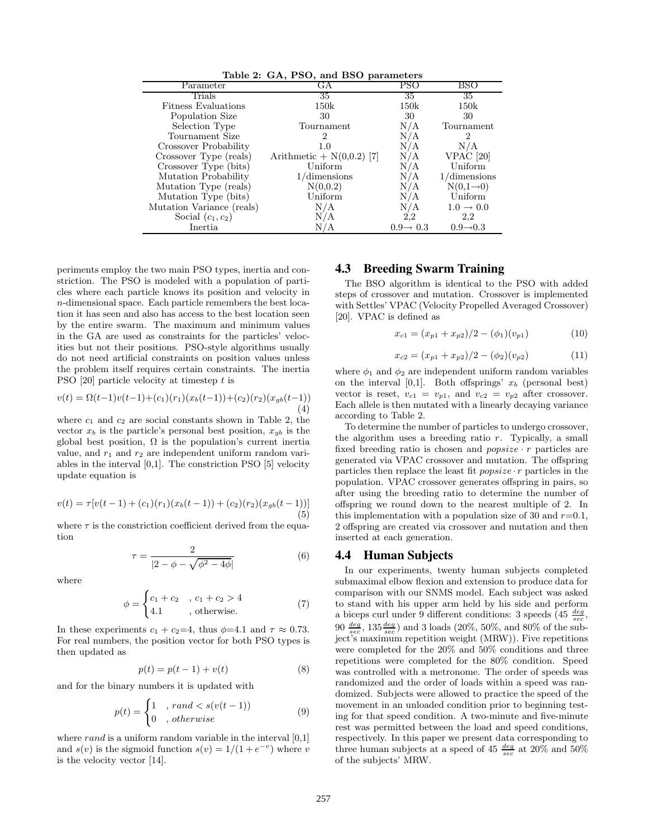| Parameter                  | GА                          | PSO                   | BSO                   |  |
|----------------------------|-----------------------------|-----------------------|-----------------------|--|
| Trials                     | 35                          | $35\,$                | $35\,$                |  |
| <b>Fitness Evaluations</b> | 150k<br>150k                |                       | 150k                  |  |
| Population Size            | 30                          | 30                    | 30                    |  |
| Selection Type             | N/A<br>Tournament           |                       | Tournament            |  |
| Tournament Size            | 2                           | N/A                   | $\overline{2}$        |  |
| Crossover Probability      | 1.0                         | N/A                   | N/A                   |  |
| Crossover Type (reals)     | Arithmetic + $N(0,0.2)$ [7] | N/A                   | <b>VPAC</b> [20]      |  |
| Crossover Type (bits)      | Uniform                     | N/A                   | Uniform               |  |
| Mutation Probability       | $1/d$ imensions             | N/A                   | $1/d$ imensions       |  |
| Mutation Type (reals)      | N(0,0.2)                    | N/A                   | $N(0,1\rightarrow 0)$ |  |
| Mutation Type (bits)       | Uniform                     | N/A                   | Uniform               |  |
| Mutation Variance (reals)  | N/A                         | N/A                   | $1.0 \rightarrow 0.0$ |  |
| Social $(c_1, c_2)$        | N/A                         | 2.2                   | 2.2                   |  |
| Inertia                    | N / A                       | $0.9 \rightarrow 0.3$ | $0.9 \rightarrow 0.3$ |  |

periments employ the two main PSO types, inertia and constriction. The PSO is modeled with a population of particles where each particle knows its position and velocity in n-dimensional space. Each particle remembers the best location it has seen and also has access to the best location seen by the entire swarm. The maximum and minimum values in the GA are used as constraints for the particles' velocities but not their positions. PSO-style algorithms usually do not need artificial constraints on position values unless the problem itself requires certain constraints. The inertia PSO [20] particle velocity at timestep  $t$  is

$$
v(t) = \Omega(t-1)v(t-1) + (c_1)(r_1)(x_b(t-1)) + (c_2)(r_2)(x_{gb}(t-1))
$$
\n(4)

where  $c_1$  and  $c_2$  are social constants shown in Table 2, the vector  $x_b$  is the particle's personal best position,  $x_{ab}$  is the global best position,  $\Omega$  is the population's current inertia value, and  $r_1$  and  $r_2$  are independent uniform random variables in the interval [0,1]. The constriction PSO [5] velocity update equation is

$$
v(t) = \tau[v(t-1) + (c_1)(r_1)(x_b(t-1)) + (c_2)(r_2)(x_{gb}(t-1))]
$$
\n(5)

where  $\tau$  is the constriction coefficient derived from the equation

$$
\tau = \frac{2}{|2 - \phi - \sqrt{\phi^2 - 4\phi}|} \tag{6}
$$

where

$$
\phi = \begin{cases} c_1 + c_2, & c_1 + c_2 > 4 \\ 4.1, & \text{otherwise.} \end{cases}
$$
 (7)

In these experiments  $c_1 + c_2 = 4$ , thus  $\phi = 4.1$  and  $\tau \approx 0.73$ . For real numbers, the position vector for both PSO types is then updated as

$$
p(t) = p(t-1) + v(t)
$$
 (8)

and for the binary numbers it is updated with

$$
p(t) = \begin{cases} 1, & rand < s(v(t-1)) \\ 0, & otherwise \end{cases}
$$
 (9)

where  $rand$  is a uniform random variable in the interval  $[0,1]$ and  $s(v)$  is the sigmoid function  $s(v)=1/(1 + e^{-v})$  where v is the velocity vector [14].

## **4.3 Breeding Swarm Training**

The BSO algorithm is identical to the PSO with added steps of crossover and mutation. Crossover is implemented with Settles' VPAC (Velocity Propelled Averaged Crossover) [20]. VPAC is defined as

$$
x_{c1} = (x_{p1} + x_{p2})/2 - (\phi_1)(v_{p1})
$$
 (10)

$$
x_{c2} = (x_{p1} + x_{p2})/2 - (\phi_2)(v_{p2})
$$
 (11)

where  $\phi_1$  and  $\phi_2$  are independent uniform random variables on the interval  $[0,1]$ . Both offsprings'  $x_b$  (personal best) vector is reset,  $v_{c1} = v_{p1}$ , and  $v_{c2} = v_{p2}$  after crossover. Each allele is then mutated with a linearly decaying variance according to Table 2.

To determine the number of particles to undergo crossover, the algorithm uses a breeding ratio  $r$ . Typically, a small fixed breeding ratio is chosen and  $\textit{popsize} \cdot r$  particles are generated via VPAC crossover and mutation. The offspring particles then replace the least fit  $popsize\cdot r$  particles in the population. VPAC crossover generates offspring in pairs, so after using the breeding ratio to determine the number of offspring we round down to the nearest multiple of 2. In this implementation with a population size of 30 and  $r=0.1$ , 2 offspring are created via crossover and mutation and then inserted at each generation.

#### **4.4 Human Subjects**

In our experiments, twenty human subjects completed submaximal elbow flexion and extension to produce data for comparison with our SNMS model. Each subject was asked to stand with his upper arm held by his side and perform a biceps curl under 9 different conditions: 3 speeds  $(45 \frac{deg}{sec},$  $90 \frac{deg}{sec}$ ,  $135 \frac{deg}{sec}$ ) and 3 loads (20%, 50%, and 80% of the subject's maximum repetition weight (MRW)). Five repetitions were completed for the 20% and 50% conditions and three repetitions were completed for the 80% condition. Speed was controlled with a metronome. The order of speeds was randomized and the order of loads within a speed was randomized. Subjects were allowed to practice the speed of the movement in an unloaded condition prior to beginning testing for that speed condition. A two-minute and five-minute rest was permitted between the load and speed conditions, respectively. In this paper we present data corresponding to three human subjects at a speed of 45  $\frac{deg}{sec}$  at 20% and 50% of the subjects' MRW.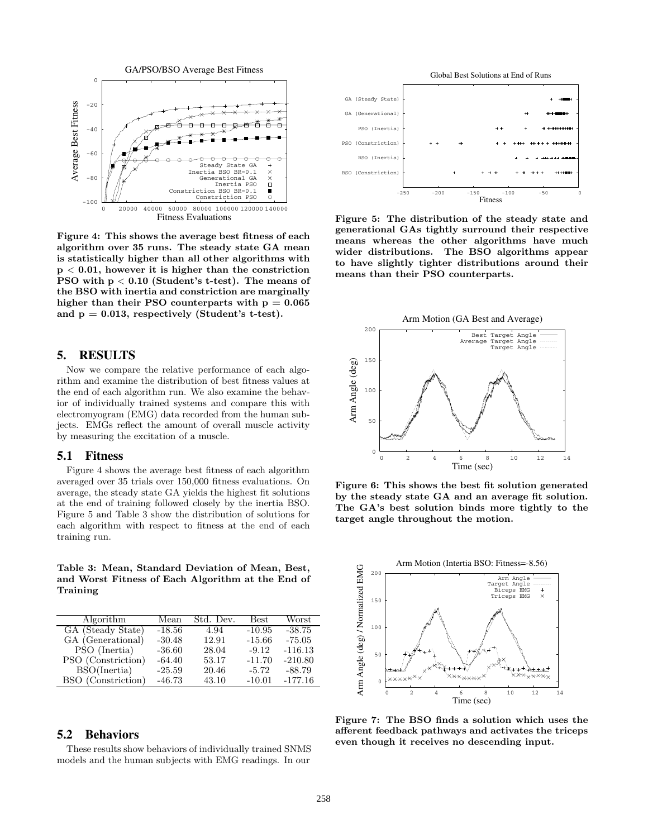

**Figure 4: This shows the average best fitness of each algorithm over 35 runs. The steady state GA mean is statistically higher than all other algorithms with p** < **0.01, however it is higher than the constriction PSO with p** < **0.10 (Student's t-test). The means of the BSO with inertia and constriction are marginally** higher than their PSO counterparts with  $p = 0.065$ **and p = 0.013, respectively (Student's t-test).**

# **5. RESULTS**

Now we compare the relative performance of each algorithm and examine the distribution of best fitness values at the end of each algorithm run. We also examine the behavior of individually trained systems and compare this with electromyogram (EMG) data recorded from the human subjects. EMGs reflect the amount of overall muscle activity by measuring the excitation of a muscle.

#### **5.1 Fitness**

Figure 4 shows the average best fitness of each algorithm averaged over 35 trials over 150,000 fitness evaluations. On average, the steady state GA yields the highest fit solutions at the end of training followed closely by the inertia BSO. Figure 5 and Table 3 show the distribution of solutions for each algorithm with respect to fitness at the end of each training run.

**Table 3: Mean, Standard Deviation of Mean, Best, and Worst Fitness of Each Algorithm at the End of Training**

| Algorithm          | Mean     | Std. Dev. | Best     | Worst     |
|--------------------|----------|-----------|----------|-----------|
| GA (Steady State)  | $-18.56$ | 4.94      | $-10.95$ | $-38.75$  |
| GA (Generational)  | $-30.48$ | 12.91     | $-15.66$ | $-75.05$  |
| PSO (Inertia)      | $-36.60$ | 28.04     | $-9.12$  | $-116.13$ |
| PSO (Constriction) | $-64.40$ | 53.17     | $-11.70$ | $-210.80$ |
| BSO(Inertia)       | $-25.59$ | 20.46     | $-5.72$  | $-88.79$  |
| BSO (Constriction) | $-46.73$ | 43.10     | $-10.01$ | $-177.16$ |

#### **5.2 Behaviors**

These results show behaviors of individually trained SNMS models and the human subjects with EMG readings. In our





**Figure 5: The distribution of the steady state and generational GAs tightly surround their respective means whereas the other algorithms have much wider distributions. The BSO algorithms appear to have slightly tighter distributions around their means than their PSO counterparts.**



**Figure 6: This shows the best fit solution generated by the steady state GA and an average fit solution. The GA's best solution binds more tightly to the target angle throughout the motion.**



**Figure 7: The BSO finds a solution which uses the afferent feedback pathways and activates the triceps even though it receives no descending input.**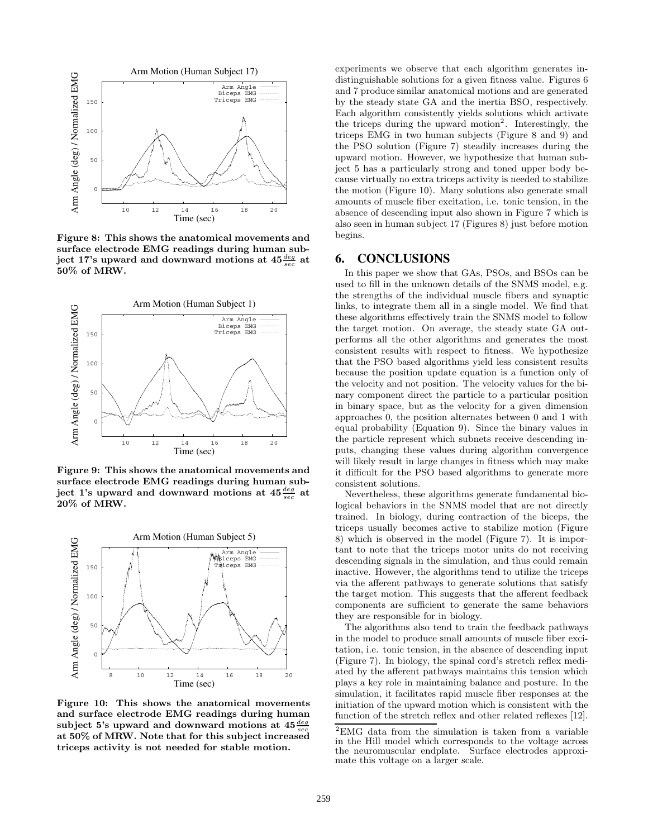

**Figure 8: This shows the anatomical movements and surface electrode EMG readings during human sub-** $\frac{1}{2}$  **j**ect 17's upward and downward motions at  $45 \frac{deg}{sec}$  at **50% of MRW.**



**Figure 9: This shows the anatomical movements and surface electrode EMG readings during human sub-** $\text{ject 1's upward and downward motions at } 45 \frac{deg}{sec} \text{ at }$ **20% of MRW.**



**Figure 10: This shows the anatomical movements and surface electrode EMG readings during human**  $\text{subject 5's upward and downward motions at } 45 \frac{deg}{sec}$ **at 50% of MRW. Note that for this subject increased triceps activity is not needed for stable motion.**

experiments we observe that each algorithm generates indistinguishable solutions for a given fitness value. Figures 6 and 7 produce similar anatomical motions and are generated by the steady state GA and the inertia BSO, respectively. Each algorithm consistently yields solutions which activate the triceps during the upward motion<sup>2</sup>. Interestingly, the triceps EMG in two human subjects (Figure 8 and 9) and the PSO solution (Figure 7) steadily increases during the upward motion. However, we hypothesize that human subject 5 has a particularly strong and toned upper body because virtually no extra triceps activity is needed to stabilize the motion (Figure 10). Many solutions also generate small amounts of muscle fiber excitation, i.e. tonic tension, in the absence of descending input also shown in Figure 7 which is also seen in human subject 17 (Figures 8) just before motion begins.

#### **6. CONCLUSIONS**

In this paper we show that GAs, PSOs, and BSOs can be used to fill in the unknown details of the SNMS model, e.g. the strengths of the individual muscle fibers and synaptic links, to integrate them all in a single model. We find that these algorithms effectively train the SNMS model to follow the target motion. On average, the steady state GA outperforms all the other algorithms and generates the most consistent results with respect to fitness. We hypothesize that the PSO based algorithms yield less consistent results because the position update equation is a function only of the velocity and not position. The velocity values for the binary component direct the particle to a particular position in binary space, but as the velocity for a given dimension approaches 0, the position alternates between 0 and 1 with equal probability (Equation 9). Since the binary values in the particle represent which subnets receive descending inputs, changing these values during algorithm convergence will likely result in large changes in fitness which may make it difficult for the PSO based algorithms to generate more consistent solutions.

Nevertheless, these algorithms generate fundamental biological behaviors in the SNMS model that are not directly trained. In biology, during contraction of the biceps, the triceps usually becomes active to stabilize motion (Figure 8) which is observed in the model (Figure 7). It is important to note that the triceps motor units do not receiving descending signals in the simulation, and thus could remain inactive. However, the algorithms tend to utilize the triceps via the afferent pathways to generate solutions that satisfy the target motion. This suggests that the afferent feedback components are sufficient to generate the same behaviors they are responsible for in biology.

The algorithms also tend to train the feedback pathways in the model to produce small amounts of muscle fiber excitation, i.e. tonic tension, in the absence of descending input (Figure 7). In biology, the spinal cord's stretch reflex mediated by the afferent pathways maintains this tension which plays a key role in maintaining balance and posture. In the simulation, it facilitates rapid muscle fiber responses at the initiation of the upward motion which is consistent with the function of the stretch reflex and other related reflexes [12].

<sup>2</sup>EMG data from the simulation is taken from a variable in the Hill model which corresponds to the voltage across the neuromuscular endplate. Surface electrodes approximate this voltage on a larger scale.